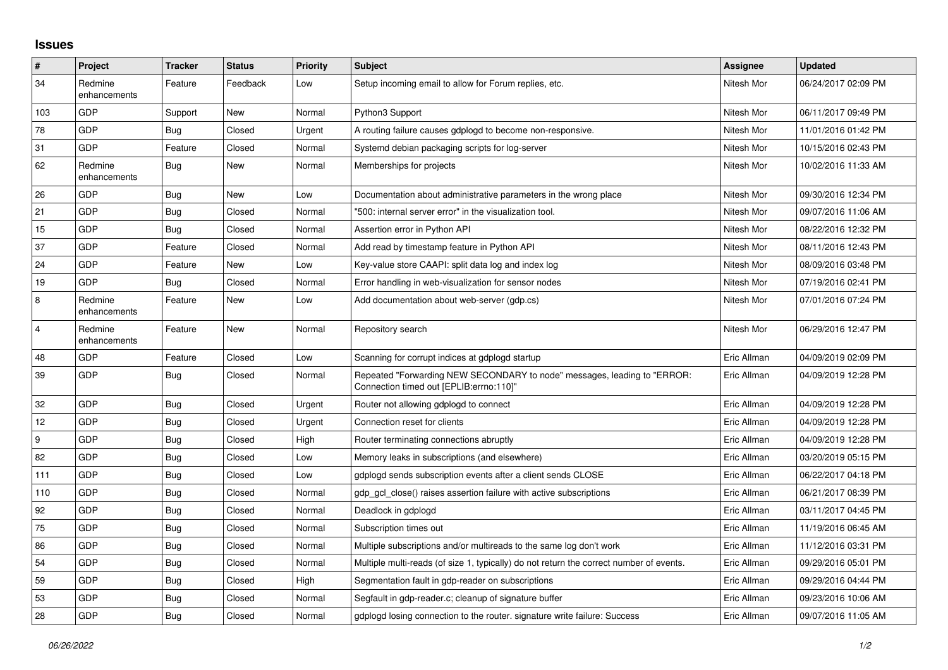## **Issues**

| $\pmb{\sharp}$          | Project                 | <b>Tracker</b> | <b>Status</b> | <b>Priority</b> | <b>Subject</b>                                                                                                      | Assignee    | <b>Updated</b>      |
|-------------------------|-------------------------|----------------|---------------|-----------------|---------------------------------------------------------------------------------------------------------------------|-------------|---------------------|
| 34                      | Redmine<br>enhancements | Feature        | Feedback      | Low             | Setup incoming email to allow for Forum replies, etc.                                                               | Nitesh Mor  | 06/24/2017 02:09 PM |
| 103                     | <b>GDP</b>              | Support        | New           | Normal          | Python3 Support                                                                                                     | Nitesh Mor  | 06/11/2017 09:49 PM |
| 78                      | GDP                     | <b>Bug</b>     | Closed        | Urgent          | A routing failure causes gdplogd to become non-responsive.                                                          | Nitesh Mor  | 11/01/2016 01:42 PM |
| 31                      | GDP                     | Feature        | Closed        | Normal          | Systemd debian packaging scripts for log-server                                                                     | Nitesh Mor  | 10/15/2016 02:43 PM |
| 62                      | Redmine<br>enhancements | Bug            | New           | Normal          | Memberships for projects                                                                                            | Nitesh Mor  | 10/02/2016 11:33 AM |
| 26                      | <b>GDP</b>              | Bug            | New           | Low             | Documentation about administrative parameters in the wrong place                                                    | Nitesh Mor  | 09/30/2016 12:34 PM |
| 21                      | GDP                     | <b>Bug</b>     | Closed        | Normal          | '500: internal server error" in the visualization tool.                                                             | Nitesh Mor  | 09/07/2016 11:06 AM |
| 15                      | GDP                     | Bug            | Closed        | Normal          | Assertion error in Python API                                                                                       | Nitesh Mor  | 08/22/2016 12:32 PM |
| 37                      | GDP                     | Feature        | Closed        | Normal          | Add read by timestamp feature in Python API                                                                         | Nitesh Mor  | 08/11/2016 12:43 PM |
| 24                      | GDP                     | Feature        | New           | Low             | Key-value store CAAPI: split data log and index log                                                                 | Nitesh Mor  | 08/09/2016 03:48 PM |
| 19                      | GDP                     | Bug            | Closed        | Normal          | Error handling in web-visualization for sensor nodes                                                                | Nitesh Mor  | 07/19/2016 02:41 PM |
| 8                       | Redmine<br>enhancements | Feature        | New           | Low             | Add documentation about web-server (gdp.cs)                                                                         | Nitesh Mor  | 07/01/2016 07:24 PM |
| $\overline{\mathbf{4}}$ | Redmine<br>enhancements | Feature        | New           | Normal          | Repository search                                                                                                   | Nitesh Mor  | 06/29/2016 12:47 PM |
| 48                      | GDP                     | Feature        | Closed        | Low             | Scanning for corrupt indices at gdplogd startup                                                                     | Eric Allman | 04/09/2019 02:09 PM |
| 39                      | GDP                     | Bug            | Closed        | Normal          | Repeated "Forwarding NEW SECONDARY to node" messages, leading to "ERROR:<br>Connection timed out [EPLIB:errno:110]" | Eric Allman | 04/09/2019 12:28 PM |
| 32                      | GDP                     | Bug            | Closed        | Urgent          | Router not allowing gdplogd to connect                                                                              | Eric Allman | 04/09/2019 12:28 PM |
| 12                      | GDP                     | Bug            | Closed        | Urgent          | Connection reset for clients                                                                                        | Eric Allman | 04/09/2019 12:28 PM |
| 9                       | GDP                     | Bug            | Closed        | High            | Router terminating connections abruptly                                                                             | Eric Allman | 04/09/2019 12:28 PM |
| 82                      | GDP                     | Bug            | Closed        | Low             | Memory leaks in subscriptions (and elsewhere)                                                                       | Eric Allman | 03/20/2019 05:15 PM |
| 111                     | <b>GDP</b>              | Bug            | Closed        | Low             | gdplogd sends subscription events after a client sends CLOSE                                                        | Eric Allman | 06/22/2017 04:18 PM |
| 110                     | GDP                     | Bug            | Closed        | Normal          | gdp gcl close() raises assertion failure with active subscriptions                                                  | Eric Allman | 06/21/2017 08:39 PM |
| 92                      | GDP                     | <b>Bug</b>     | Closed        | Normal          | Deadlock in gdplogd                                                                                                 | Eric Allman | 03/11/2017 04:45 PM |
| 75                      | GDP                     | Bug            | Closed        | Normal          | Subscription times out                                                                                              | Eric Allman | 11/19/2016 06:45 AM |
| 86                      | GDP                     | <b>Bug</b>     | Closed        | Normal          | Multiple subscriptions and/or multireads to the same log don't work                                                 | Eric Allman | 11/12/2016 03:31 PM |
| 54                      | GDP                     | Bug            | Closed        | Normal          | Multiple multi-reads (of size 1, typically) do not return the correct number of events.                             | Eric Allman | 09/29/2016 05:01 PM |
| 59                      | GDP                     | Bug            | Closed        | High            | Segmentation fault in gdp-reader on subscriptions                                                                   | Eric Allman | 09/29/2016 04:44 PM |
| 53                      | <b>GDP</b>              | Bug            | Closed        | Normal          | Segfault in gdp-reader.c; cleanup of signature buffer                                                               | Eric Allman | 09/23/2016 10:06 AM |
| 28                      | GDP                     | <b>Bug</b>     | Closed        | Normal          | gdplogd losing connection to the router, signature write failure: Success                                           | Eric Allman | 09/07/2016 11:05 AM |